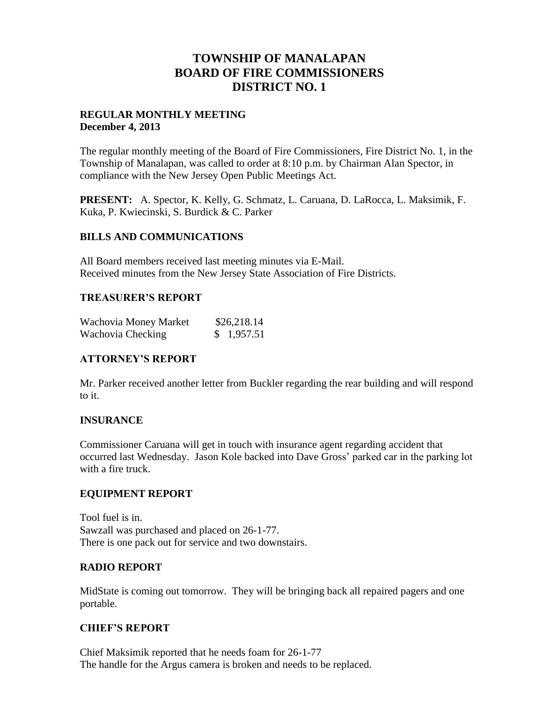## **TOWNSHIP OF MANALAPAN BOARD OF FIRE COMMISSIONERS DISTRICT NO. 1**

#### **REGULAR MONTHLY MEETING December 4, 2013**

The regular monthly meeting of the Board of Fire Commissioners, Fire District No. 1, in the Township of Manalapan, was called to order at 8:10 p.m. by Chairman Alan Spector, in compliance with the New Jersey Open Public Meetings Act.

**PRESENT:** A. Spector, K. Kelly, G. Schmatz, L. Caruana, D. LaRocca, L. Maksimik, F. Kuka, P. Kwiecinski, S. Burdick & C. Parker

#### **BILLS AND COMMUNICATIONS**

All Board members received last meeting minutes via E-Mail. Received minutes from the New Jersey State Association of Fire Districts.

#### **TREASURER'S REPORT**

| Wachovia Money Market | \$26,218.14 |
|-----------------------|-------------|
| Wachovia Checking     | \$1,957.51  |

## **ATTORNEY'S REPORT**

Mr. Parker received another letter from Buckler regarding the rear building and will respond to it.

## **INSURANCE**

Commissioner Caruana will get in touch with insurance agent regarding accident that occurred last Wednesday. Jason Kole backed into Dave Gross' parked car in the parking lot with a fire truck.

## **EQUIPMENT REPORT**

Tool fuel is in. Sawzall was purchased and placed on 26-1-77. There is one pack out for service and two downstairs.

## **RADIO REPORT**

MidState is coming out tomorrow. They will be bringing back all repaired pagers and one portable.

## **CHIEF'S REPORT**

Chief Maksimik reported that he needs foam for 26-1-77 The handle for the Argus camera is broken and needs to be replaced.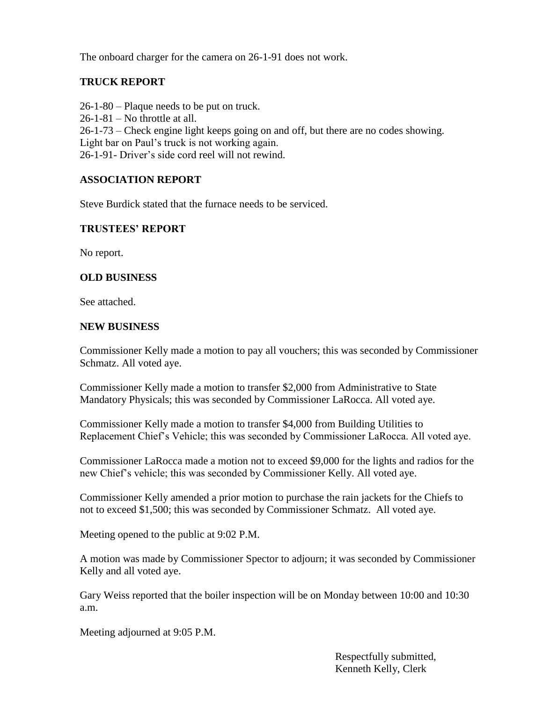The onboard charger for the camera on 26-1-91 does not work.

## **TRUCK REPORT**

26-1-80 – Plaque needs to be put on truck. 26-1-81 – No throttle at all. 26-1-73 – Check engine light keeps going on and off, but there are no codes showing. Light bar on Paul's truck is not working again. 26-1-91- Driver's side cord reel will not rewind.

## **ASSOCIATION REPORT**

Steve Burdick stated that the furnace needs to be serviced.

#### **TRUSTEES' REPORT**

No report.

#### **OLD BUSINESS**

See attached.

#### **NEW BUSINESS**

Commissioner Kelly made a motion to pay all vouchers; this was seconded by Commissioner Schmatz. All voted aye.

Commissioner Kelly made a motion to transfer \$2,000 from Administrative to State Mandatory Physicals; this was seconded by Commissioner LaRocca. All voted aye.

Commissioner Kelly made a motion to transfer \$4,000 from Building Utilities to Replacement Chief's Vehicle; this was seconded by Commissioner LaRocca. All voted aye.

Commissioner LaRocca made a motion not to exceed \$9,000 for the lights and radios for the new Chief's vehicle; this was seconded by Commissioner Kelly. All voted aye.

Commissioner Kelly amended a prior motion to purchase the rain jackets for the Chiefs to not to exceed \$1,500; this was seconded by Commissioner Schmatz. All voted aye.

Meeting opened to the public at 9:02 P.M.

A motion was made by Commissioner Spector to adjourn; it was seconded by Commissioner Kelly and all voted aye.

Gary Weiss reported that the boiler inspection will be on Monday between 10:00 and 10:30 a.m.

Meeting adjourned at 9:05 P.M.

 Respectfully submitted, Kenneth Kelly, Clerk